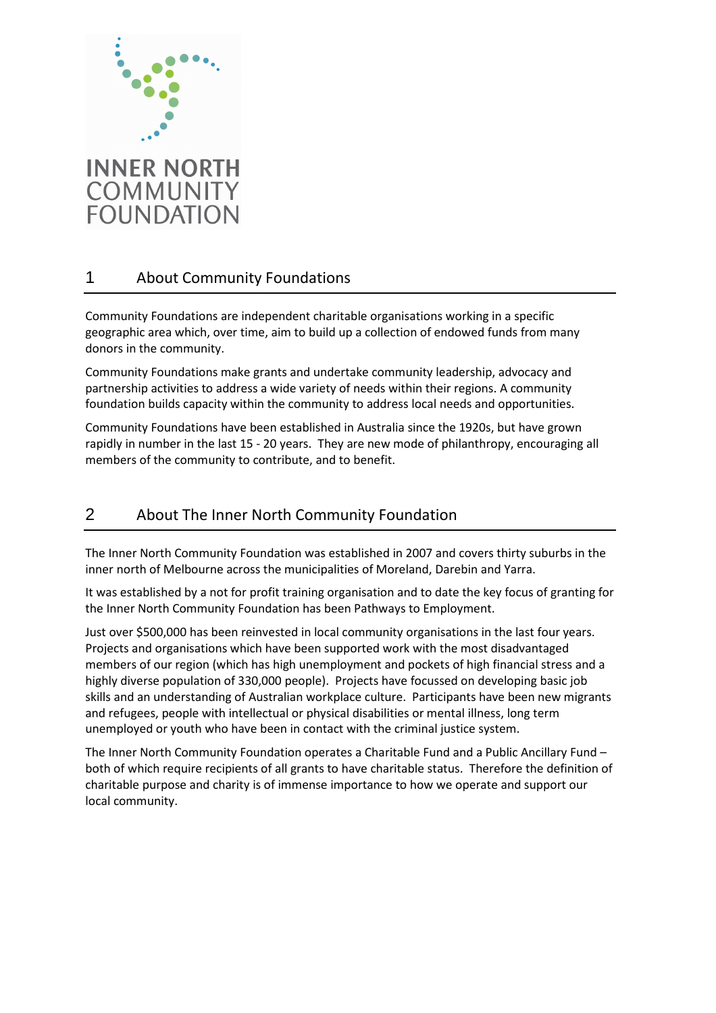

#### About Community Foundations 1

 Community Foundations are independent charitable organisations working in a specific geographic area which, over time, aim to build up a collection of endowed funds from many donors in the community.

 Community Foundations make grants and undertake community leadership, advocacy and partnership activities to address a wide variety of needs within their regions. A community foundation builds capacity within the community to address local needs and opportunities.

 Community Foundations have been established in Australia since the 1920s, but have grown rapidly in number in the last 15 - 20 years. They are new mode of philanthropy, encouraging all members of the community to contribute, and to benefit.

#### About The Inner North Community Foundation 2

 The Inner North Community Foundation was established in 2007 and covers thirty suburbs in the inner north of Melbourne across the municipalities of Moreland, Darebin and Yarra.

 It was established by a not for profit training organisation and to date the key focus of granting for the Inner North Community Foundation has been Pathways to Employment.

 Just over \$500,000 has been reinvested in local community organisations in the last four years. Projects and organisations which have been supported work with the most disadvantaged members of our region (which has high unemployment and pockets of high financial stress and a highly diverse population of 330,000 people). Projects have focussed on developing basic job skills and an understanding of Australian workplace culture. Participants have been new migrants and refugees, people with intellectual or physical disabilities or mental illness, long term unemployed or youth who have been in contact with the criminal justice system.

 The Inner North Community Foundation operates a Charitable Fund and a Public Ancillary Fund – both of which require recipients of all grants to have charitable status. Therefore the definition of charitable purpose and charity is of immense importance to how we operate and support our local community.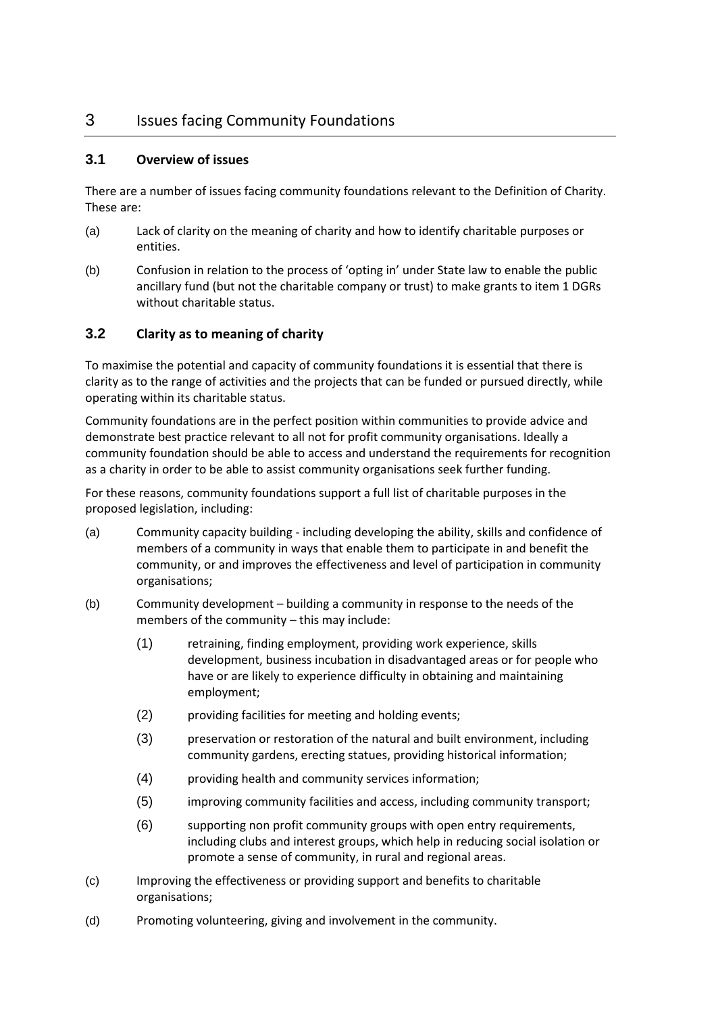# 3 Issues facing Community Foundations

## **3.1 Overview of issues**

 There are a number of issues facing community foundations relevant to the Definition of Charity. These are:

- (a) Lack of clarity on the meaning of charity and how to identify charitable purposes or entities.
- (b) Confusion in relation to the process of 'opting in' under State law to enable the public ancillary fund (but not the charitable company or trust) to make grants to item 1 DGRs without charitable status.

## **3.2 Clarity as to meaning of charity**

 To maximise the potential and capacity of community foundations it is essential that there is clarity as to the range of activities and the projects that can be funded or pursued directly, while operating within its charitable status.

 Community foundations are in the perfect position within communities to provide advice and demonstrate best practice relevant to all not for profit community organisations. Ideally a community foundation should be able to access and understand the requirements for recognition as a charity in order to be able to assist community organisations seek further funding.

 For these reasons, community foundations support a full list of charitable purposes in the proposed legislation, including:

- (a) Community capacity building including developing the ability, skills and confidence of members of a community in ways that enable them to participate in and benefit the community, or and improves the effectiveness and level of participation in community organisations;
- (b) Community development building a community in response to the needs of the members of the community – this may include:
	- (1) retraining, finding employment, providing work experience, skills development, business incubation in disadvantaged areas or for people who have or are likely to experience difficulty in obtaining and maintaining employment;
	- (2) providing facilities for meeting and holding events;
	- (3) preservation or restoration of the natural and built environment, including community gardens, erecting statues, providing historical information;
	- (4) providing health and community services information;
	- (5) improving community facilities and access, including community transport;
	- (6) supporting non profit community groups with open entry requirements, including clubs and interest groups, which help in reducing social isolation or promote a sense of community, in rural and regional areas.
- (c) Improving the effectiveness or providing support and benefits to charitable organisations;
- (d) Promoting volunteering, giving and involvement in the community.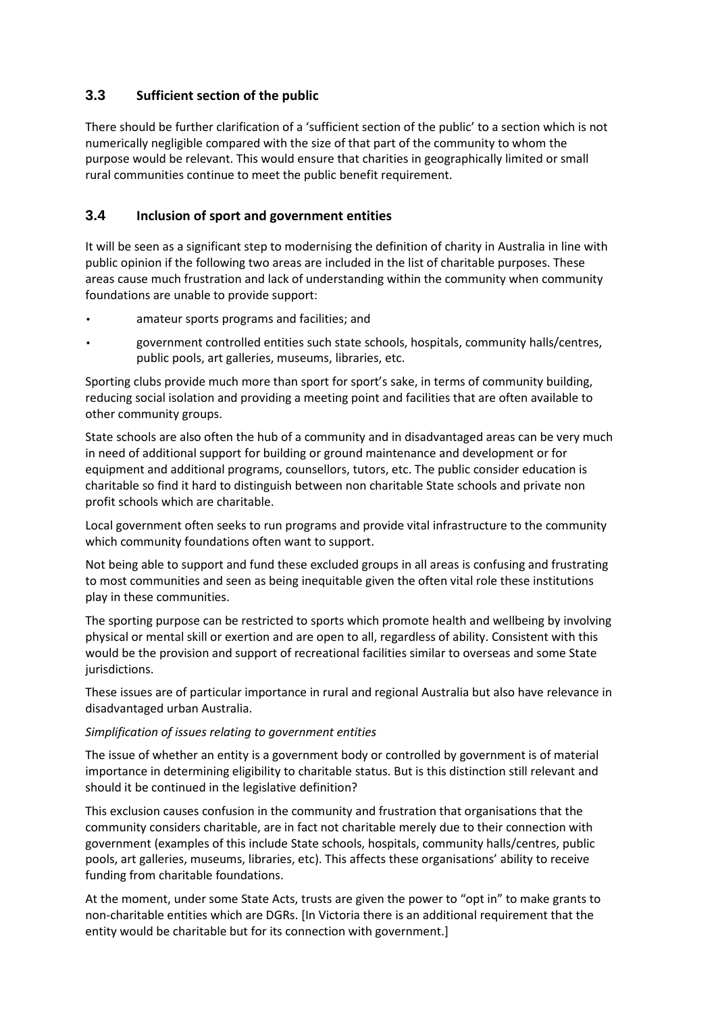## **3.3 Sufficient section of the public**

 There should be further clarification of a 'sufficient section of the public' to a section which is not numerically negligible compared with the size of that part of the community to whom the purpose would be relevant. This would ensure that charities in geographically limited or small rural communities continue to meet the public benefit requirement.

## **3.4 Inclusion of sport and government entities**

 It will be seen as a significant step to modernising the definition of charity in Australia in line with public opinion if the following two areas are included in the list of charitable purposes. These areas cause much frustration and lack of understanding within the community when community foundations are unable to provide support:

- • amateur sports programs and facilities; and
- • government controlled entities such state schools, hospitals, community halls/centres, public pools, art galleries, museums, libraries, etc.

 Sporting clubs provide much more than sport for sport's sake, in terms of community building, reducing social isolation and providing a meeting point and facilities that are often available to other community groups.

 State schools are also often the hub of a community and in disadvantaged areas can be very much in need of additional support for building or ground maintenance and development or for equipment and additional programs, counsellors, tutors, etc. The public consider education is charitable so find it hard to distinguish between non charitable State schools and private non profit schools which are charitable.

 Local government often seeks to run programs and provide vital infrastructure to the community which community foundations often want to support.

 Not being able to support and fund these excluded groups in all areas is confusing and frustrating to most communities and seen as being inequitable given the often vital role these institutions play in these communities.

 The sporting purpose can be restricted to sports which promote health and wellbeing by involving physical or mental skill or exertion and are open to all, regardless of ability. Consistent with this would be the provision and support of recreational facilities similar to overseas and some State jurisdictions.

jurisdictions.<br>These issues are of particular importance in rural and regional Australia but also have relevance in disadvantaged urban Australia.

## *Simplification of issues relating to government entities*

 The issue of whether an entity is a government body or controlled by government is of material importance in determining eligibility to charitable status. But is this distinction still relevant and should it be continued in the legislative definition?

 This exclusion causes confusion in the community and frustration that organisations that the community considers charitable, are in fact not charitable merely due to their connection with government (examples of this include State schools, hospitals, community halls/centres, public pools, art galleries, museums, libraries, etc). This affects these organisations' ability to receive funding from charitable foundations.

 At the moment, under some State Acts, trusts are given the power to "opt in" to make grants to non-charitable entities which are DGRs. [In Victoria there is an additional requirement that the entity would be charitable but for its connection with government.]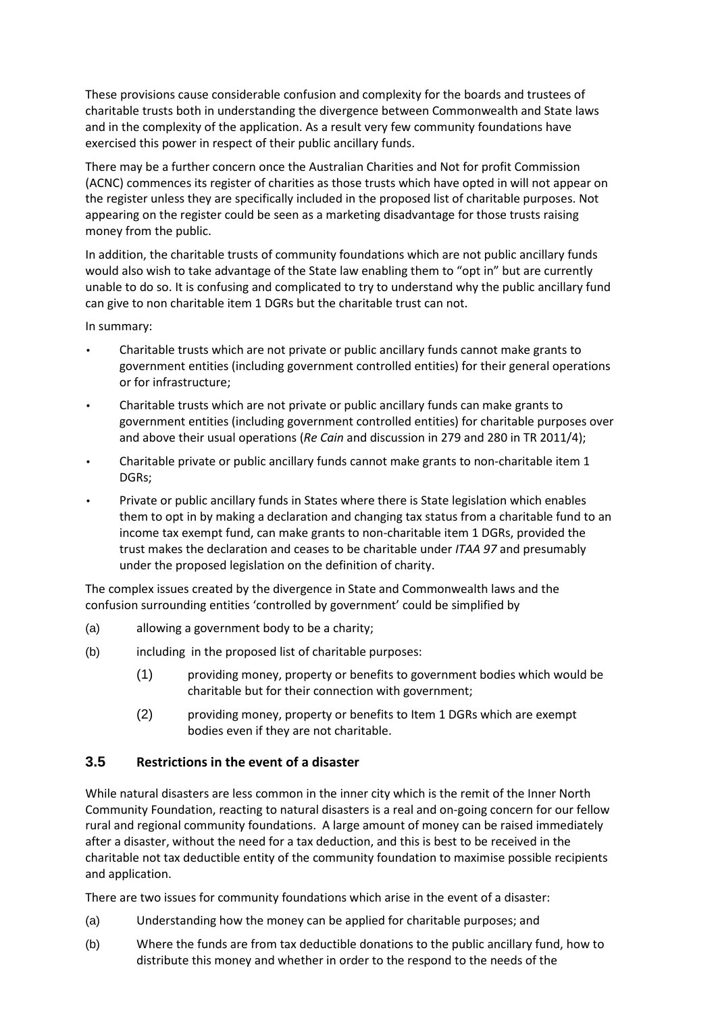These provisions cause considerable confusion and complexity for the boards and trustees of charitable trusts both in understanding the divergence between Commonwealth and State laws and in the complexity of the application. As a result very few community foundations have exercised this power in respect of their public ancillary funds.

 There may be a further concern once the Australian Charities and Not for profit Commission (ACNC) commences its register of charities as those trusts which have opted in will not appear on the register unless they are specifically included in the proposed list of charitable purposes. Not appearing on the register could be seen as a marketing disadvantage for those trusts raising money from the public.

 In addition, the charitable trusts of community foundations which are not public ancillary funds would also wish to take advantage of the State law enabling them to "opt in" but are currently unable to do so. It is confusing and complicated to try to understand why the public ancillary fund can give to non charitable item 1 DGRs but the charitable trust can not.

In summary:

- Charitable trusts which are not private or public ancillary funds cannot make grants to government entities (including government controlled entities) for their general operations or for infrastructure;
- Charitable trusts which are not private or public ancillary funds can make grants to government entities (including government controlled entities) for charitable purposes over and above their usual operations (*Re Cain* and discussion in 279 and 280 in TR 2011/4);
- Charitable private or public ancillary funds cannot make grants to non-charitable item 1 DGRs;
- Private or public ancillary funds in States where there is State legislation which enables income tax exempt fund, can make grants to non-charitable item 1 DGRs, provided the them to opt in by making a declaration and changing tax status from a charitable fund to an trust makes the declaration and ceases to be charitable under *ITAA 97* and presumably under the proposed legislation on the definition of charity.

 The complex issues created by the divergence in State and Commonwealth laws and the confusion surrounding entities 'controlled by government' could be simplified by

- (a) allowing a government body to be a charity;
- (b) including in the proposed list of charitable purposes:
	- (1) providing money, property or benefits to government bodies which would be charitable but for their connection with government;
	- (2) providing money, property or benefits to Item 1 DGRs which are exempt bodies even if they are not charitable.

## **3.5 Restrictions in the event of a disaster**

 While natural disasters are less common in the inner city which is the remit of the Inner North Community Foundation, reacting to natural disasters is a real and on-going concern for our fellow rural and regional community foundations. A large amount of money can be raised immediately after a disaster, without the need for a tax deduction, and this is best to be received in the charitable not tax deductible entity of the community foundation to maximise possible recipients and application.

There are two issues for community foundations which arise in the event of a disaster:

- (a) Understanding how the money can be applied for charitable purposes; and
- (b) Where the funds are from tax deductible donations to the public ancillary fund, how to distribute this money and whether in order to the respond to the needs of the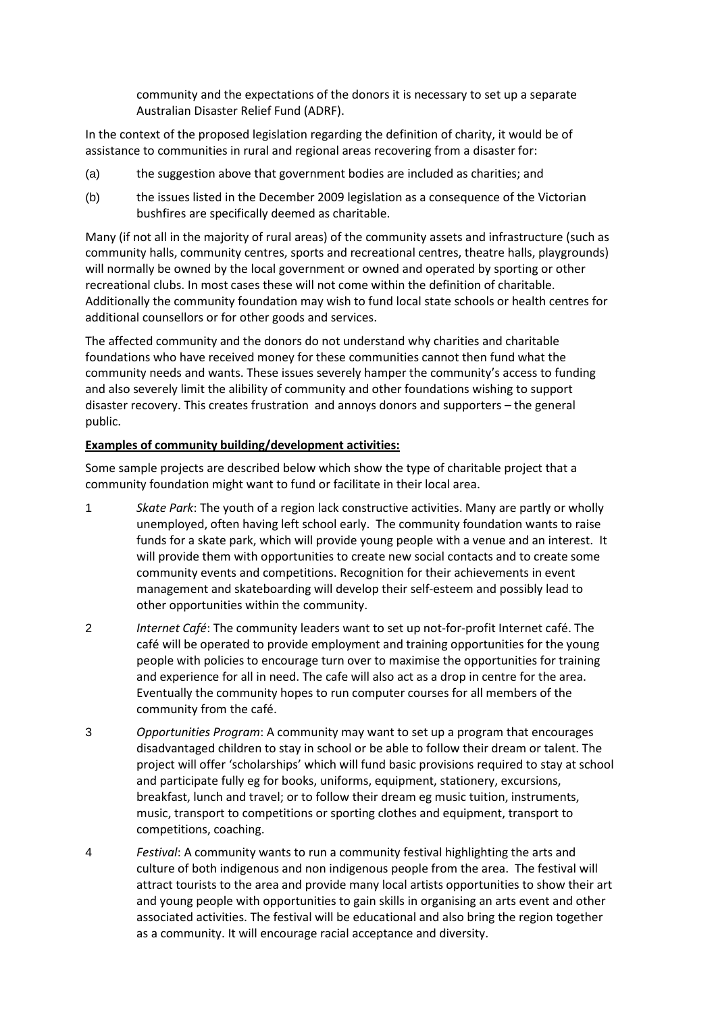community and the expectations of the donors it is necessary to set up a separate Australian Disaster Relief Fund (ADRF).

 In the context of the proposed legislation regarding the definition of charity, it would be of assistance to communities in rural and regional areas recovering from a disaster for:

- (a) the suggestion above that government bodies are included as charities; and
- (b) the issues listed in the December 2009 legislation as a consequence of the Victorian bushfires are specifically deemed as charitable.

 Many (if not all in the majority of rural areas) of the community assets and infrastructure (such as community halls, community centres, sports and recreational centres, theatre halls, playgrounds) will normally be owned by the local government or owned and operated by sporting or other recreational clubs. In most cases these will not come within the definition of charitable. Additionally the community foundation may wish to fund local state schools or health centres for additional counsellors or for other goods and services.

 The affected community and the donors do not understand why charities and charitable foundations who have received money for these communities cannot then fund what the community needs and wants. These issues severely hamper the community's access to funding and also severely limit the alibility of community and other foundations wishing to support disaster recovery. This creates frustration and annoys donors and supporters – the general public.

### **Examples of community building/development activities:**

 Some sample projects are described below which show the type of charitable project that a community foundation might want to fund or facilitate in their local area.

- 1 *Skate Park*: The youth of a region lack constructive activities. Many are partly or wholly unemployed, often having left school early. The community foundation wants to raise funds for a skate park, which will provide young people with a venue and an interest. It will provide them with opportunities to create new social contacts and to create some community events and competitions. Recognition for their achievements in event management and skateboarding will develop their self-esteem and possibly lead to other opportunities within the community.
- 2 *Internet Café*: The community leaders want to set up not-for-profit Internet café. The café will be operated to provide employment and training opportunities for the young people with policies to encourage turn over to maximise the opportunities for training and experience for all in need. The cafe will also act as a drop in centre for the area. Eventually the community hopes to run computer courses for all members of the community from the café.
- 3 *Opportunities Program*: A community may want to set up a program that encourages disadvantaged children to stay in school or be able to follow their dream or talent. The project will offer 'scholarships' which will fund basic provisions required to stay at school and participate fully eg for books, uniforms, equipment, stationery, excursions, breakfast, lunch and travel; or to follow their dream eg music tuition, instruments, music, transport to competitions or sporting clothes and equipment, transport to competitions, coaching.
- 4 *Festival*: A community wants to run a community festival highlighting the arts and culture of both indigenous and non indigenous people from the area. The festival will attract tourists to the area and provide many local artists opportunities to show their art and young people with opportunities to gain skills in organising an arts event and other associated activities. The festival will be educational and also bring the region together as a community. It will encourage racial acceptance and diversity.